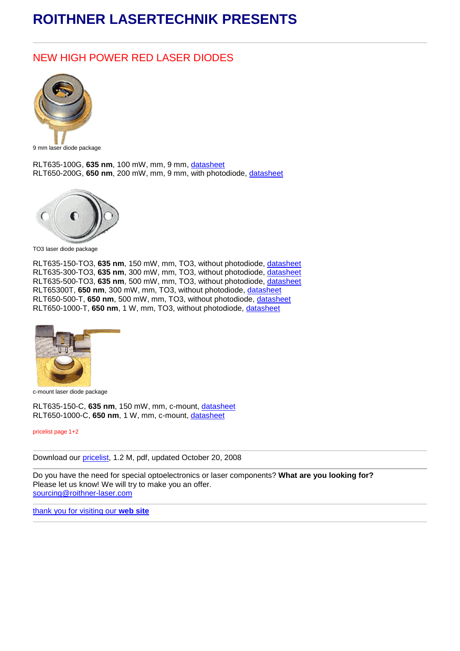## **ROITHNER LASERTECHNIK PRESENTS**

## NEW HIGH POWER RED LASER DIODES



9 mm laser diode package

RLT635-100G, **635 nm**, 100 mW, mm, 9 mm, [datasheet](http://www.roithner-laser.com/All_Datasheets/Laserdiodes/RLT635-100G.pdf) RLT650-200G, **650 nm**, 200 mW, mm, 9 mm, with photodiode, [datasheet](http://www.roithner-laser.com/All_Datasheets/Laserdiodes/RLT650-200G.pdf)



TO3 laser diode package

RLT635-150-TO3, **635 nm**, 150 mW, mm, TO3, without photodiode, [datasheet](http://www.roithner-laser.com/All_Datasheets/Laserdiodes/RLT635-150-TO3.pdf) RLT635-300-TO3, **635 nm**, 300 mW, mm, TO3, without photodiode, [datasheet](http://www.roithner-laser.com/All_Datasheets/Laserdiodes/RLT635-300-TO3.pdf) RLT635-500-TO3, **635 nm**, 500 mW, mm, TO3, without photodiode, [datasheet](http://www.roithner-laser.com/All_Datasheets/Laserdiodes/RLT635-500-TO3.pdf) RLT65300T, **650 nm**, 300 mW, mm, TO3, without photodiode, [datasheet](http://www.roithner-laser.com/All_Datasheets/Laserdiodes/RLT65300T.pdf) RLT650-500-T, **650 nm**, 500 mW, mm, TO3, without photodiode, [datasheet](http://www.roithner-laser.com/All_Datasheets/Laserdiodes/RLT650-500-T.pdf) RLT650-1000-T, **650 nm**, 1 W, mm, TO3, without photodiode, [datasheet](http://www.roithner-laser.com/All_Datasheets/Laserdiodes/RLT650-1000-T.pdf)



c-mount laser diode package

RLT635-150-C, **635 nm**, 150 mW, mm, c-mount, [datasheet](http://www.roithner-laser.com/All_Datasheets/Laserdiodes/RLT635-150-C.pdf) RLT650-1000-C, **650 nm**, 1 W, mm, c-mount, [datasheet](http://www.roithner-laser.com/All_Datasheets/Laserdiodes/RLT650-1000-C.pdf)

pricelist page 1+2

Download our [pricelist,](http://www.roithner-laser.at/All_Datasheets/Pricelists/roithner-pricelist-c-081020.pdf) 1.2 M, pdf, updated October 20, 2008

Do you have the need for special optoelectronics or laser components? **What are you looking for?** Please let us know! We will try to make you an offer. [sourcing@roithner-laser.com](mailto:sourcing@roithner-laser.com?subject=Inquiry)

[thank you for visiting our](http://www.roithner-laser.com/) **[web site](http://www.roithner-laser.com/)**